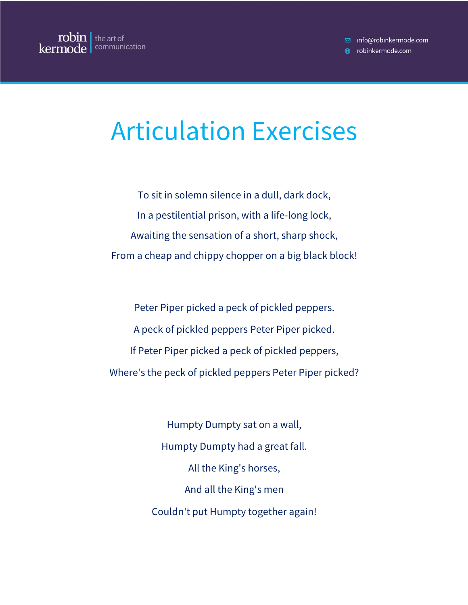## Articulation Exercises

To sit in solemn silence in a dull, dark dock, In a pestilential prison, with a life-long lock, Awaiting the sensation of a short, sharp shock, From a cheap and chippy chopper on a big black block!

Peter Piper picked a peck of pickled peppers. A peck of pickled peppers Peter Piper picked. If Peter Piper picked a peck of pickled peppers, Where's the peck of pickled peppers Peter Piper picked?

> Humpty Dumpty sat on a wall, Humpty Dumpty had a great fall. All the King's horses, And all the King's men Couldn't put Humpty together again!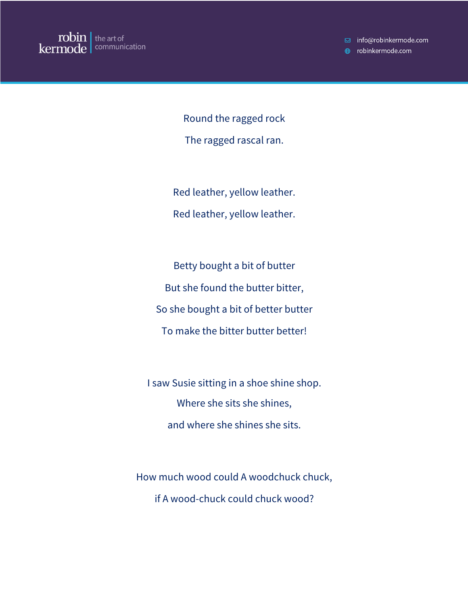□ info@robinkermode.com

**A** robinkermode.com

Round the ragged rock The ragged rascal ran.

Red leather, yellow leather. Red leather, yellow leather.

Betty bought a bit of butter But she found the butter bitter, So she bought a bit of better butter To make the bitter butter better!

I saw Susie sitting in a shoe shine shop. Where she sits she shines, and where she shines she sits.

How much wood could A woodchuck chuck, if A wood-chuck could chuck wood?